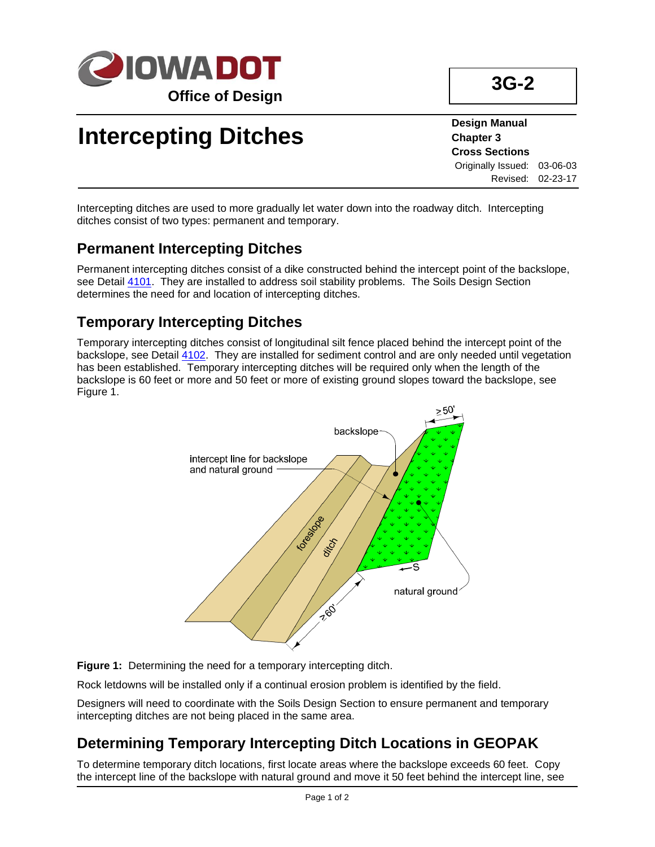

# **Intercepting Ditches**

**Design Manual Chapter 3 Cross Sections** Originally Issued: 03-06-03 Revised: 02-23-17

Intercepting ditches are used to more gradually let water down into the roadway ditch. Intercepting ditches consist of two types: permanent and temporary.

## **Permanent Intercepting Ditches**

Permanent intercepting ditches consist of a dike constructed behind the intercept point of the backslope, see Detail [4101.](../tnt/PDFsandWebFiles/IndividualPDFs/4101.pdf) They are installed to address soil stability problems. The Soils Design Section determines the need for and location of intercepting ditches.

## **Temporary Intercepting Ditches**

Temporary intercepting ditches consist of longitudinal silt fence placed behind the intercept point of the backslope, see Detail [4102.](../tnt/PDFsandWebFiles/IndividualPDFs/4102.pdf) They are installed for sediment control and are only needed until vegetation has been established. Temporary intercepting ditches will be required only when the length of the backslope is 60 feet or more and 50 feet or more of existing ground slopes toward the backslope, see Figure 1.



**Figure 1:** Determining the need for a temporary intercepting ditch.

Rock letdowns will be installed only if a continual erosion problem is identified by the field.

Designers will need to coordinate with the Soils Design Section to ensure permanent and temporary intercepting ditches are not being placed in the same area.

# **Determining Temporary Intercepting Ditch Locations in GEOPAK**

To determine temporary ditch locations, first locate areas where the backslope exceeds 60 feet. Copy the intercept line of the backslope with natural ground and move it 50 feet behind the intercept line, see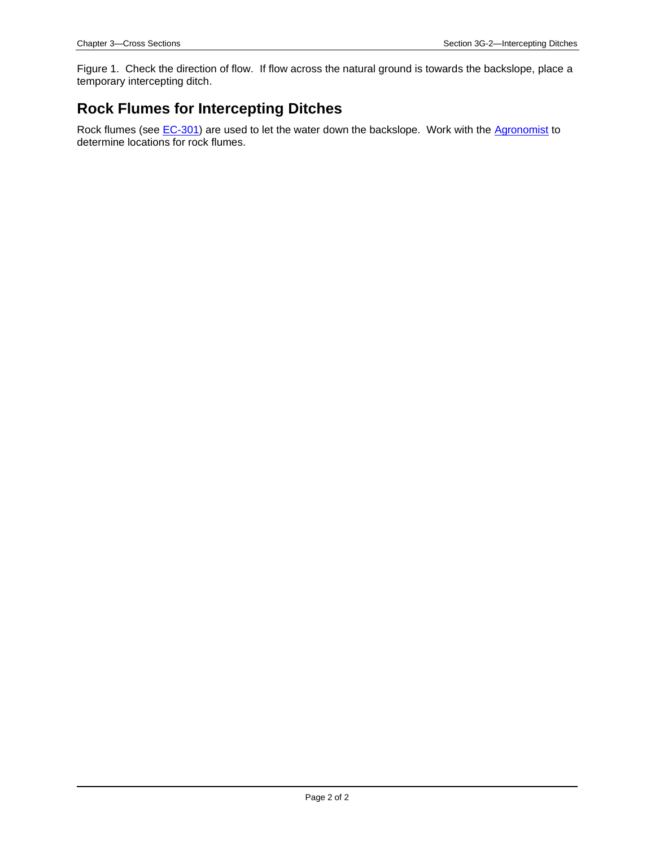Figure 1. Check the direction of flow. If flow across the natural ground is towards the backslope, place a temporary intercepting ditch.

#### **Rock Flumes for Intercepting Ditches**

Rock flumes (see [EC-301\)](../SRP/IndividualStandards/ec301.pdf) are used to let the water down the backslope. Work with the [Agronomist](01B-02/Agronomist.pdf) to determine locations for rock flumes.